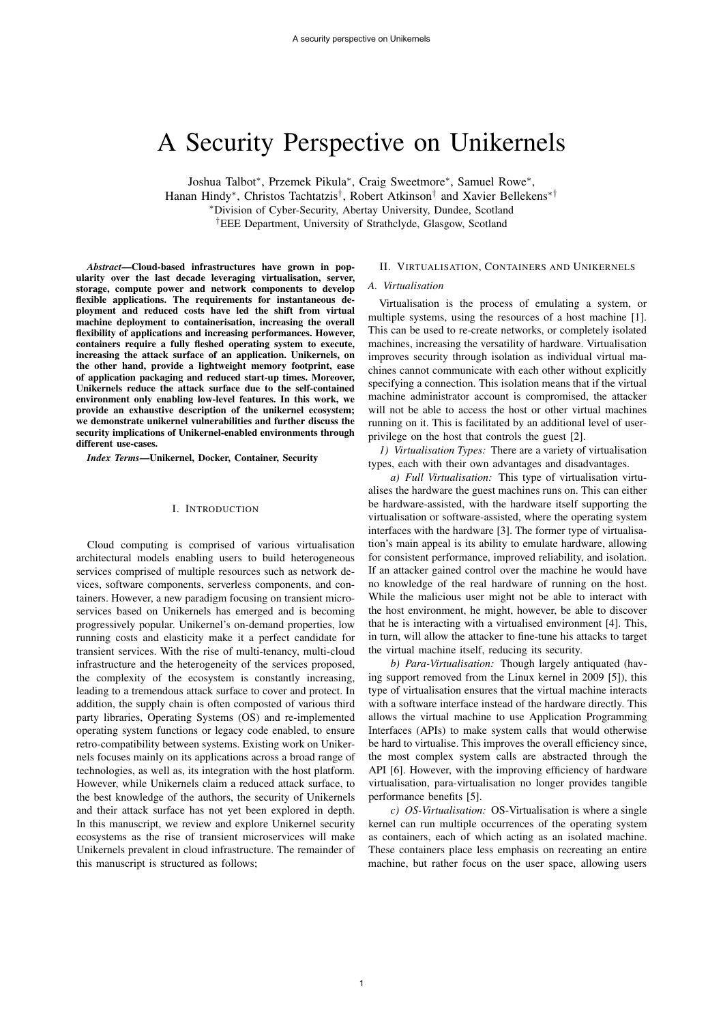# A Security Perspective on Unikernels

Joshua Talbot\*, Przemek Pikula\*, Craig Sweetmore\*, Samuel Rowe\*, Hanan Hindy<sup>\*</sup>, Christos Tachtatzis<sup>†</sup>, Robert Atkinson<sup>†</sup> and Xavier Bellekens<sup>\*†</sup> ⇤Division of Cyber-Security, Abertay University, Dundee, Scotland *†*EEE Department, University of Strathclyde, Glasgow, Scotland

*Abstract*—Cloud-based infrastructures have grown in popularity over the last decade leveraging virtualisation, server, storage, compute power and network components to develop flexible applications. The requirements for instantaneous deployment and reduced costs have led the shift from virtual machine deployment to containerisation, increasing the overall flexibility of applications and increasing performances. However, containers require a fully fleshed operating system to execute, increasing the attack surface of an application. Unikernels, on the other hand, provide a lightweight memory footprint, ease of application packaging and reduced start-up times. Moreover, Unikernels reduce the attack surface due to the self-contained environment only enabling low-level features. In this work, we provide an exhaustive description of the unikernel ecosystem; we demonstrate unikernel vulnerabilities and further discuss the security implications of Unikernel-enabled environments through different use-cases.

*Index Terms*—Unikernel, Docker, Container, Security

#### I. INTRODUCTION

Cloud computing is comprised of various virtualisation architectural models enabling users to build heterogeneous services comprised of multiple resources such as network devices, software components, serverless components, and containers. However, a new paradigm focusing on transient microservices based on Unikernels has emerged and is becoming progressively popular. Unikernel's on-demand properties, low running costs and elasticity make it a perfect candidate for transient services. With the rise of multi-tenancy, multi-cloud infrastructure and the heterogeneity of the services proposed, the complexity of the ecosystem is constantly increasing, leading to a tremendous attack surface to cover and protect. In addition, the supply chain is often composted of various third party libraries, Operating Systems (OS) and re-implemented operating system functions or legacy code enabled, to ensure retro-compatibility between systems. Existing work on Unikernels focuses mainly on its applications across a broad range of technologies, as well as, its integration with the host platform. However, while Unikernels claim a reduced attack surface, to the best knowledge of the authors, the security of Unikernels and their attack surface has not yet been explored in depth. In this manuscript, we review and explore Unikernel security ecosystems as the rise of transient microservices will make Unikernels prevalent in cloud infrastructure. The remainder of this manuscript is structured as follows;

#### II. VIRTUALISATION, CONTAINERS AND UNIKERNELS

## *A. Virtualisation*

Virtualisation is the process of emulating a system, or multiple systems, using the resources of a host machine [1]. This can be used to re-create networks, or completely isolated machines, increasing the versatility of hardware. Virtualisation improves security through isolation as individual virtual machines cannot communicate with each other without explicitly specifying a connection. This isolation means that if the virtual machine administrator account is compromised, the attacker will not be able to access the host or other virtual machines running on it. This is facilitated by an additional level of userprivilege on the host that controls the guest [2].

*1) Virtualisation Types:* There are a variety of virtualisation types, each with their own advantages and disadvantages.

*a) Full Virtualisation:* This type of virtualisation virtualises the hardware the guest machines runs on. This can either be hardware-assisted, with the hardware itself supporting the virtualisation or software-assisted, where the operating system interfaces with the hardware [3]. The former type of virtualisation's main appeal is its ability to emulate hardware, allowing for consistent performance, improved reliability, and isolation. If an attacker gained control over the machine he would have no knowledge of the real hardware of running on the host. While the malicious user might not be able to interact with the host environment, he might, however, be able to discover that he is interacting with a virtualised environment [4]. This, in turn, will allow the attacker to fine-tune his attacks to target the virtual machine itself, reducing its security.

*b) Para-Virtualisation:* Though largely antiquated (having support removed from the Linux kernel in 2009 [5]), this type of virtualisation ensures that the virtual machine interacts with a software interface instead of the hardware directly. This allows the virtual machine to use Application Programming Interfaces (APIs) to make system calls that would otherwise be hard to virtualise. This improves the overall efficiency since, the most complex system calls are abstracted through the API [6]. However, with the improving efficiency of hardware virtualisation, para-virtualisation no longer provides tangible performance benefits [5].

*c) OS-Virtualisation:* OS-Virtualisation is where a single kernel can run multiple occurrences of the operating system as containers, each of which acting as an isolated machine. These containers place less emphasis on recreating an entire machine, but rather focus on the user space, allowing users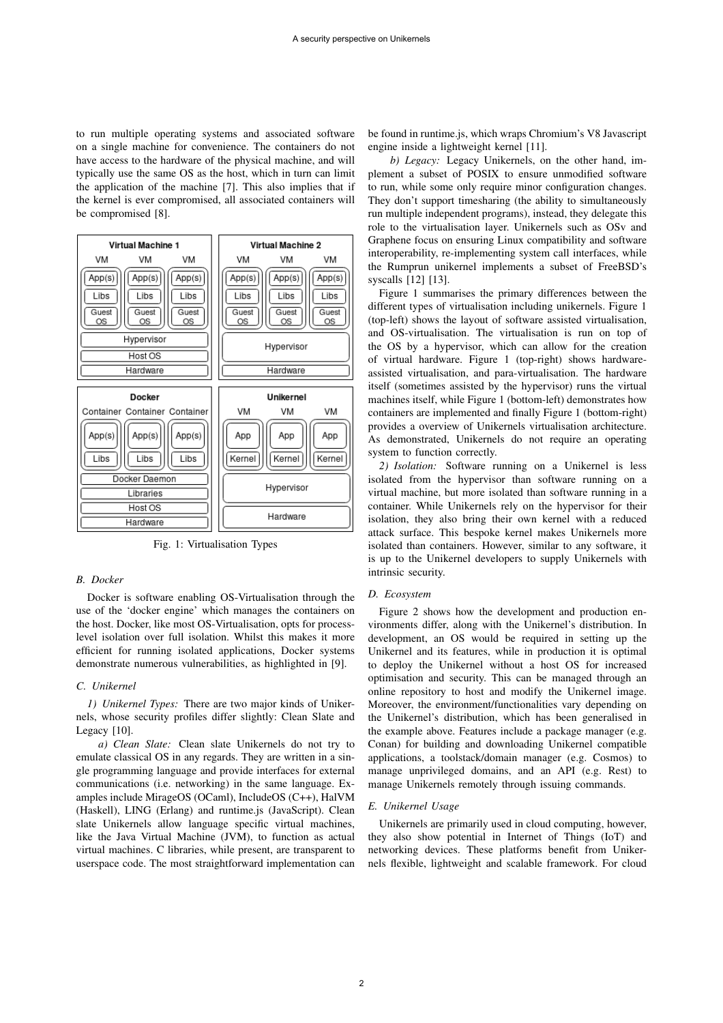to run multiple operating systems and associated software on a single machine for convenience. The containers do not have access to the hardware of the physical machine, and will typically use the same OS as the host, which in turn can limit the application of the machine [7]. This also implies that if the kernel is ever compromised, all associated containers will be compromised [8].



Fig. 1: Virtualisation Types

# *B. Docker*

Docker is software enabling OS-Virtualisation through the use of the 'docker engine' which manages the containers on the host. Docker, like most OS-Virtualisation, opts for processlevel isolation over full isolation. Whilst this makes it more efficient for running isolated applications, Docker systems demonstrate numerous vulnerabilities, as highlighted in [9].

# *C. Unikernel*

*1) Unikernel Types:* There are two major kinds of Unikernels, whose security profiles differ slightly: Clean Slate and Legacy [10].

*a) Clean Slate:* Clean slate Unikernels do not try to emulate classical OS in any regards. They are written in a single programming language and provide interfaces for external communications (i.e. networking) in the same language. Examples include MirageOS (OCaml), IncludeOS (C++), HalVM (Haskell), LING (Erlang) and runtime.js (JavaScript). Clean slate Unikernels allow language specific virtual machines, like the Java Virtual Machine (JVM), to function as actual virtual machines. C libraries, while present, are transparent to userspace code. The most straightforward implementation can

be found in runtime.js, which wraps Chromium's V8 Javascript engine inside a lightweight kernel [11].

*b) Legacy:* Legacy Unikernels, on the other hand, implement a subset of POSIX to ensure unmodified software to run, while some only require minor configuration changes. They don't support timesharing (the ability to simultaneously run multiple independent programs), instead, they delegate this role to the virtualisation layer. Unikernels such as OSv and Graphene focus on ensuring Linux compatibility and software interoperability, re-implementing system call interfaces, while the Rumprun unikernel implements a subset of FreeBSD's syscalls [12] [13].

Figure 1 summarises the primary differences between the different types of virtualisation including unikernels. Figure 1 (top-left) shows the layout of software assisted virtualisation, and OS-virtualisation. The virtualisation is run on top of the OS by a hypervisor, which can allow for the creation of virtual hardware. Figure 1 (top-right) shows hardwareassisted virtualisation, and para-virtualisation. The hardware itself (sometimes assisted by the hypervisor) runs the virtual machines itself, while Figure 1 (bottom-left) demonstrates how containers are implemented and finally Figure 1 (bottom-right) provides a overview of Unikernels virtualisation architecture. As demonstrated, Unikernels do not require an operating system to function correctly.

*2) Isolation:* Software running on a Unikernel is less isolated from the hypervisor than software running on a virtual machine, but more isolated than software running in a container. While Unikernels rely on the hypervisor for their isolation, they also bring their own kernel with a reduced attack surface. This bespoke kernel makes Unikernels more isolated than containers. However, similar to any software, it is up to the Unikernel developers to supply Unikernels with intrinsic security.

#### *D. Ecosystem*

Figure 2 shows how the development and production environments differ, along with the Unikernel's distribution. In development, an OS would be required in setting up the Unikernel and its features, while in production it is optimal to deploy the Unikernel without a host OS for increased optimisation and security. This can be managed through an online repository to host and modify the Unikernel image. Moreover, the environment/functionalities vary depending on the Unikernel's distribution, which has been generalised in the example above. Features include a package manager (e.g. Conan) for building and downloading Unikernel compatible applications, a toolstack/domain manager (e.g. Cosmos) to manage unprivileged domains, and an API (e.g. Rest) to manage Unikernels remotely through issuing commands.

#### *E. Unikernel Usage*

Unikernels are primarily used in cloud computing, however, they also show potential in Internet of Things (IoT) and networking devices. These platforms benefit from Unikernels flexible, lightweight and scalable framework. For cloud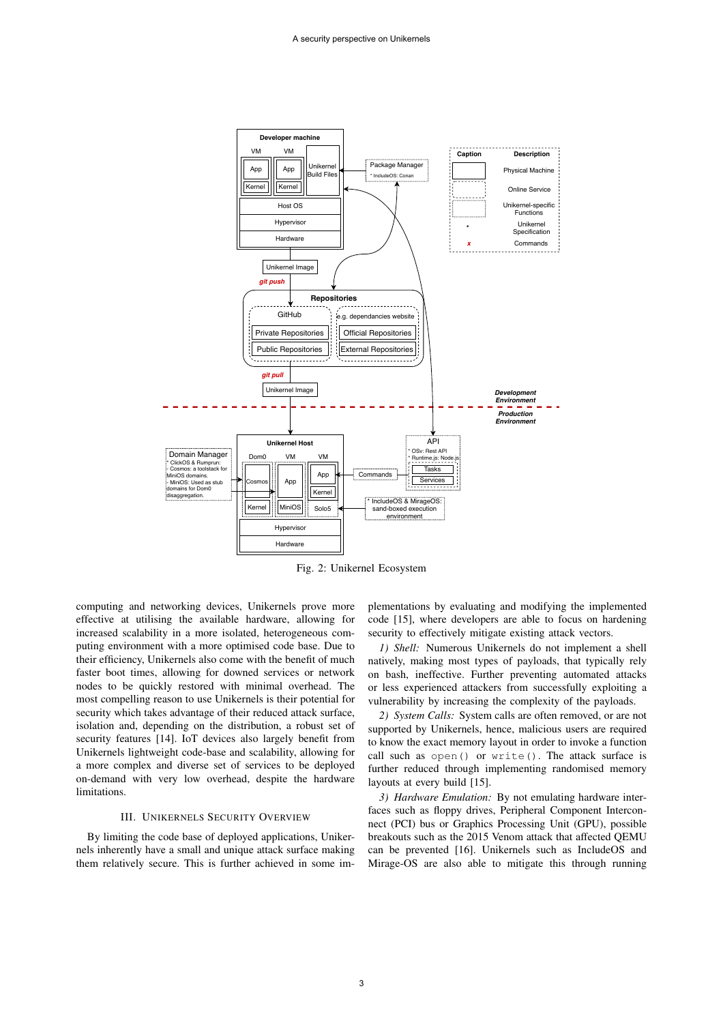

Fig. 2: Unikernel Ecosystem

computing and networking devices, Unikernels prove more effective at utilising the available hardware, allowing for increased scalability in a more isolated, heterogeneous computing environment with a more optimised code base. Due to their efficiency, Unikernels also come with the benefit of much faster boot times, allowing for downed services or network nodes to be quickly restored with minimal overhead. The most compelling reason to use Unikernels is their potential for security which takes advantage of their reduced attack surface, isolation and, depending on the distribution, a robust set of security features [14]. IoT devices also largely benefit from Unikernels lightweight code-base and scalability, allowing for a more complex and diverse set of services to be deployed on-demand with very low overhead, despite the hardware limitations.

# III. UNIKERNELS SECURITY OVERVIEW

By limiting the code base of deployed applications, Unikernels inherently have a small and unique attack surface making them relatively secure. This is further achieved in some implementations by evaluating and modifying the implemented code [15], where developers are able to focus on hardening security to effectively mitigate existing attack vectors.

*1) Shell:* Numerous Unikernels do not implement a shell natively, making most types of payloads, that typically rely on bash, ineffective. Further preventing automated attacks or less experienced attackers from successfully exploiting a vulnerability by increasing the complexity of the payloads.

*2) System Calls:* System calls are often removed, or are not supported by Unikernels, hence, malicious users are required to know the exact memory layout in order to invoke a function call such as open() or write(). The attack surface is further reduced through implementing randomised memory layouts at every build [15].

*3) Hardware Emulation:* By not emulating hardware interfaces such as floppy drives, Peripheral Component Interconnect (PCI) bus or Graphics Processing Unit (GPU), possible breakouts such as the 2015 Venom attack that affected QEMU can be prevented [16]. Unikernels such as IncludeOS and Mirage-OS are also able to mitigate this through running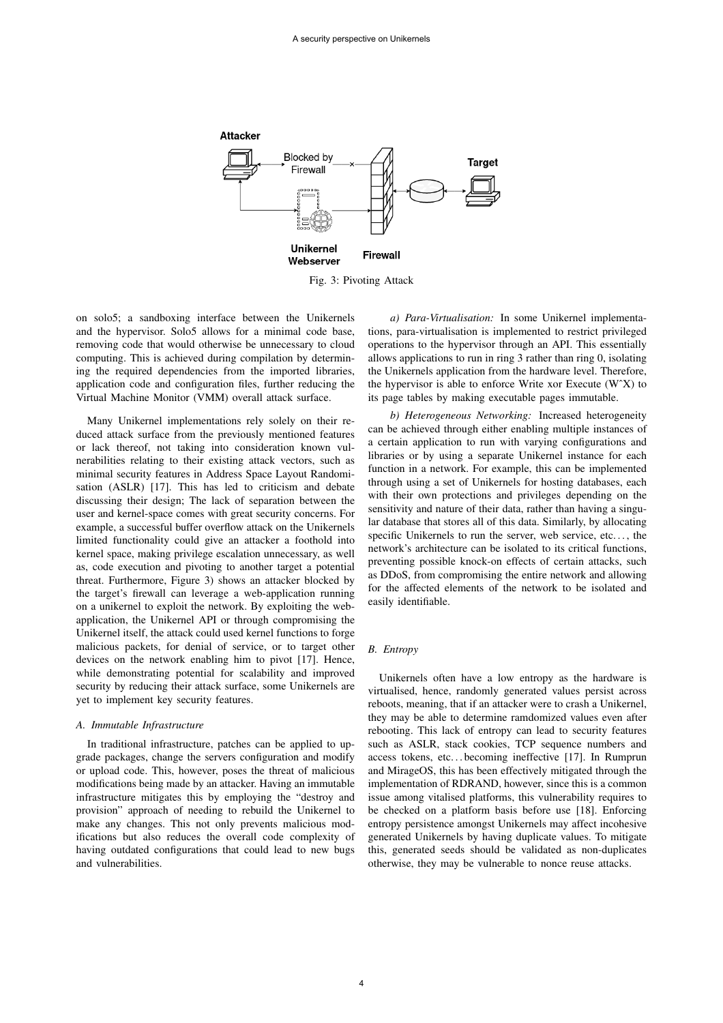

Fig. 3: Pivoting Attack

on solo5; a sandboxing interface between the Unikernels and the hypervisor. Solo5 allows for a minimal code base, removing code that would otherwise be unnecessary to cloud computing. This is achieved during compilation by determining the required dependencies from the imported libraries, application code and configuration files, further reducing the Virtual Machine Monitor (VMM) overall attack surface.

Many Unikernel implementations rely solely on their reduced attack surface from the previously mentioned features or lack thereof, not taking into consideration known vulnerabilities relating to their existing attack vectors, such as minimal security features in Address Space Layout Randomisation (ASLR) [17]. This has led to criticism and debate discussing their design; The lack of separation between the user and kernel-space comes with great security concerns. For example, a successful buffer overflow attack on the Unikernels limited functionality could give an attacker a foothold into kernel space, making privilege escalation unnecessary, as well as, code execution and pivoting to another target a potential threat. Furthermore, Figure 3) shows an attacker blocked by the target's firewall can leverage a web-application running on a unikernel to exploit the network. By exploiting the webapplication, the Unikernel API or through compromising the Unikernel itself, the attack could used kernel functions to forge malicious packets, for denial of service, or to target other devices on the network enabling him to pivot [17]. Hence, while demonstrating potential for scalability and improved security by reducing their attack surface, some Unikernels are yet to implement key security features.

## *A. Immutable Infrastructure*

In traditional infrastructure, patches can be applied to upgrade packages, change the servers configuration and modify or upload code. This, however, poses the threat of malicious modifications being made by an attacker. Having an immutable infrastructure mitigates this by employing the "destroy and provision" approach of needing to rebuild the Unikernel to make any changes. This not only prevents malicious modifications but also reduces the overall code complexity of having outdated configurations that could lead to new bugs and vulnerabilities.

*a) Para-Virtualisation:* In some Unikernel implementations, para-virtualisation is implemented to restrict privileged operations to the hypervisor through an API. This essentially allows applications to run in ring 3 rather than ring 0, isolating the Unikernels application from the hardware level. Therefore, the hypervisor is able to enforce Write xor Execute (WˆX) to its page tables by making executable pages immutable.

*b) Heterogeneous Networking:* Increased heterogeneity can be achieved through either enabling multiple instances of a certain application to run with varying configurations and libraries or by using a separate Unikernel instance for each function in a network. For example, this can be implemented through using a set of Unikernels for hosting databases, each with their own protections and privileges depending on the sensitivity and nature of their data, rather than having a singular database that stores all of this data. Similarly, by allocating specific Unikernels to run the server, web service, etc..., the network's architecture can be isolated to its critical functions, preventing possible knock-on effects of certain attacks, such as DDoS, from compromising the entire network and allowing for the affected elements of the network to be isolated and easily identifiable.

## *B. Entropy*

Unikernels often have a low entropy as the hardware is virtualised, hence, randomly generated values persist across reboots, meaning, that if an attacker were to crash a Unikernel, they may be able to determine ramdomized values even after rebooting. This lack of entropy can lead to security features such as ASLR, stack cookies, TCP sequence numbers and access tokens, etc. . . becoming ineffective [17]. In Rumprun and MirageOS, this has been effectively mitigated through the implementation of RDRAND, however, since this is a common issue among vitalised platforms, this vulnerability requires to be checked on a platform basis before use [18]. Enforcing entropy persistence amongst Unikernels may affect incohesive generated Unikernels by having duplicate values. To mitigate this, generated seeds should be validated as non-duplicates otherwise, they may be vulnerable to nonce reuse attacks.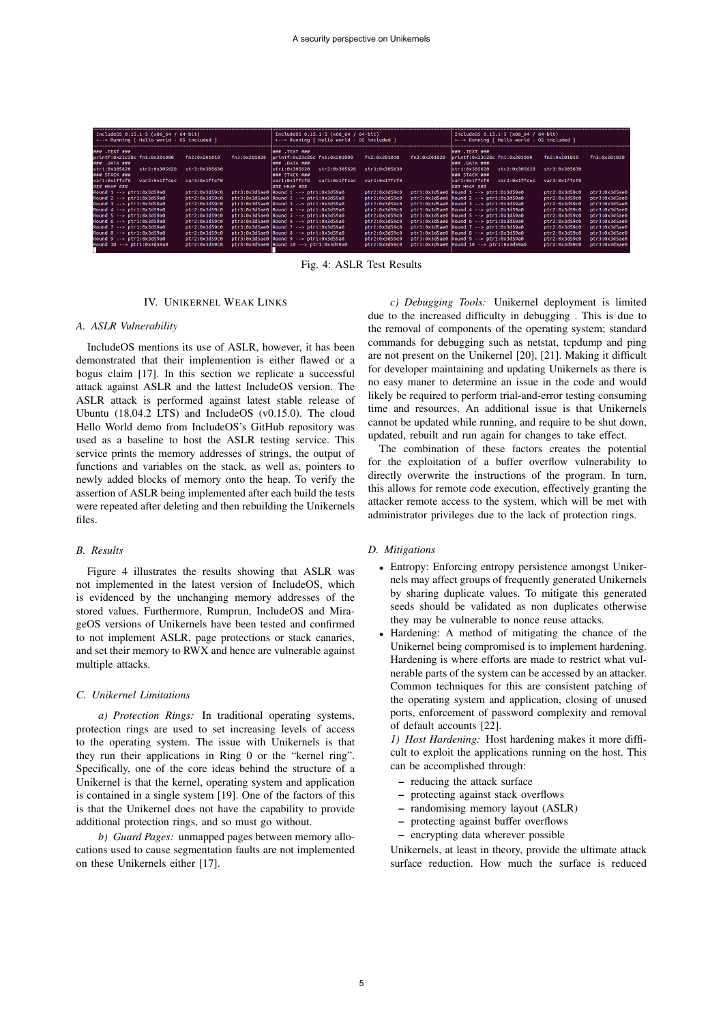| IncludeOS $0.15.1 - 5$ (x86 64 / 64-bit)<br>+--> Running   Hello world - OS included ] |               |              | IncludeOS 0.15.1-5 (x86 64 / 64-bit)<br>+--> Running   Hello world - OS included ] |               |              | IncludeOS 0.15.1-5 (x86 64 / 64-bit)<br>+--> Running   Hello world - OS included ] |               |               |
|----------------------------------------------------------------------------------------|---------------|--------------|------------------------------------------------------------------------------------|---------------|--------------|------------------------------------------------------------------------------------|---------------|---------------|
| ### .TEXT ###                                                                          |               |              | $\left  \frac{4444}{4444} \right $ . TEXT $\left  \frac{4444}{4444} \right $       |               |              | ### .TEXT ###                                                                      |               |               |
| printf:0x23c28c fn1:0x201000                                                           | fn2:0x201010  | fn3:0x201020 | printf:0x23c28c fn1:0x201000                                                       | fn2:0x201010  | fn3:0x201020 | printf:0x23c28c fn1:0x201000                                                       | fn2:0x201010  | fn3:0x201020  |
| ### .DATA ###                                                                          |               |              | $\mu$ <sub>##</sub> .DATA $\mu$ <sub>##</sub>                                      |               |              | ### .DATA ###                                                                      |               |               |
| str1:0x305620<br>str2:0x305628                                                         | str3:0x305630 |              | str1:0x305620<br>str2:0x305628                                                     | str3:0x305630 |              | str1:0x305620<br>str2:0x305628                                                     | str3:0x305630 |               |
| ### STACK ###                                                                          |               |              | $\###$ STACK ###                                                                   |               |              | ### STACK ###                                                                      |               |               |
| var1:0x1ffcf8<br>var2:0x1ffcec                                                         | var3:0x1ffcf0 |              | var1:0x1ffcf8<br>var2:0x1ffcec                                                     | var3:0x1ffcf0 |              | war1:0x1ffcf8<br>var2:0x1ffcec                                                     | var3:0x1ffcf0 |               |
| ### HEAP ###                                                                           |               |              | $\###$ HEAP ###                                                                    |               |              | ### HEAP ###                                                                       |               |               |
| Round 1 --> ptr1:0x3d59a0                                                              | ptr2:0x3d59c0 |              | $ptr3:0x3d5ae0$ Round 1 $\rightarrow$ ptr1:0x3d59a0                                | ptr2:0x3d59c0 |              | $ptr3:0x3d5ae0$ Round 1 $\rightarrow$ ptr1:0x3d59a0                                | ptr2:0x3d59c0 | ptr3:0x3d5ae0 |
| Round 2 --> ptr1:0x3d59a0                                                              | ptr2:0x3d59c0 |              | $ptr3:0x3d5ae0$ Round $2 \rightarrow str1:0x3d59a0$                                | ptr2:0x3d59c0 |              | ptr3:0x3d5ae0 Round 2 --> ptr1:0x3d59a0                                            | ptr2:0x3d59c0 | otr3:0x3d5ae0 |
| Round 3 --> ptr1:0x3d59a0                                                              | ptr2:0x3d59c0 |              | $ptr3:0x3d5ae0$ Round $3 \rightarrow$ $ptr1:0x3d59a0$                              | ptr2:0x3d59c0 |              | $ptr3:0x3d5ae0$ Round $3 \rightarrow$ $ptr1:0x3d59a0$                              | ptr2:0x3d59c0 | ptr3:0x3d5ae0 |
| Round 4 --> ptr1:0x3d59a0                                                              | ptr2:0x3d59c0 |              | $ptr3:0x3d5ae0$ Round 4 $\rightarrow$ ptr1:0x3d59a0                                | ptr2:0x3d59c0 |              | $ptr3:0x3d5ae0$ Round 4 $\rightarrow$ ptr1:0x3d59a0                                | ptr2:0x3d59c0 | ptr3:0x3d5ae0 |
| Round 5 --> ptr1:0x3d59a0                                                              | ptr2:0x3d59c0 |              | $ptr3:0x3d5ae0$ Round $5 \rightarrow str1:0x3d59a0$                                | ptr2:0x3d59c0 |              | $ptr3:0x3d5ae0$ Round $5 \cdots$ $ptr1:0x3d59a0$                                   | ptr2:0x3d59c0 | ptr3:0x3d5ae0 |
| Round 6 --> ptr1:0x3d59a0                                                              | ptr2:0x3d59c0 |              | $ptr3:0x3d5ae0$ Round $6 \rightarrow$ $ptr1:0x3d59a0$                              | ptr2:0x3d59c0 |              | $ptr3:0x3d5ae0$ Round $6 \rightarrow$ $ptr1:0x3d59a0$                              | ptr2:0x3d59c0 | ptr3:0x3d5ae0 |
| Round 7 --> ptr1:0x3d59a0                                                              | ptr2:0x3d59c0 |              | $ptr3:0x3d5ae0$ Round $7 \rightarrow str1:0x3d59a0$                                | ptr2:0x3d59c0 |              | $ptr3:0x3d5ae0$ Round 7 --> $ptr1:0x3d59a0$                                        | ptr2:0x3d59c0 | ptr3:0x3d5ae0 |
| Round 8 --> ptr1:0x3d59a0                                                              | ptr2:0x3d59c0 |              | $ptr3:0x3d5ae0$ Round $8 \rightarrow str1:0x3d59a0$                                | ptr2:0x3d59c0 |              | ptr3:0x3d5ae0 Round 8 --> ptr1:0x3d59a0                                            | ptr2:0x3d59c0 | ptr3:0x3d5ae0 |
| Round 9 --> ptr1:0x3d59a0                                                              | ptr2:0x3d59c0 |              | $ptr3:0x3d5ae0$ Round 9 --> $ptr1:0x3d59a0$                                        | ptr2:0x3d59c0 |              | $ptr3:0x3d5ae0$ Round 9 $\rightarrow$ $ptr1:0x3d59a0$                              | ptr2:0x3d59c0 | ptr3:0x3d5ae0 |
| Round 10 --> ptr1:0x3d59a0                                                             | ptr2:0x3d59c0 |              | $ptr3:0x3d5ae0$ Round $10 \rightarrow ptr1:0x3d59a0$                               | ptr2:0x3d59c0 |              | ptr3:0x3d5ae0 Round 10 --> ptr1:0x3d59a0                                           | ptr2:0x3d59c0 | ptr3:0x3d5ae0 |
|                                                                                        |               |              |                                                                                    |               |              |                                                                                    |               |               |

Fig. 4: ASLR Test Results

## IV. UNIKERNEL WEAK LINKS

#### *A. ASLR Vulnerability*

IncludeOS mentions its use of ASLR, however, it has been demonstrated that their implemention is either flawed or a bogus claim [17]. In this section we replicate a successful attack against ASLR and the lattest IncludeOS version. The ASLR attack is performed against latest stable release of Ubuntu (18.04.2 LTS) and IncludeOS (v0.15.0). The cloud Hello World demo from IncludeOS's GitHub repository was used as a baseline to host the ASLR testing service. This service prints the memory addresses of strings, the output of functions and variables on the stack, as well as, pointers to newly added blocks of memory onto the heap. To verify the assertion of ASLR being implemented after each build the tests were repeated after deleting and then rebuilding the Unikernels files.

## *B. Results*

Figure 4 illustrates the results showing that ASLR was not implemented in the latest version of IncludeOS, which is evidenced by the unchanging memory addresses of the stored values. Furthermore, Rumprun, IncludeOS and MirageOS versions of Unikernels have been tested and confirmed to not implement ASLR, page protections or stack canaries, and set their memory to RWX and hence are vulnerable against multiple attacks.

## *C. Unikernel Limitations*

*a) Protection Rings:* In traditional operating systems, protection rings are used to set increasing levels of access to the operating system. The issue with Unikernels is that they run their applications in Ring 0 or the "kernel ring". Specifically, one of the core ideas behind the structure of a Unikernel is that the kernel, operating system and application is contained in a single system [19]. One of the factors of this is that the Unikernel does not have the capability to provide additional protection rings, and so must go without.

*b) Guard Pages:* unmapped pages between memory allocations used to cause segmentation faults are not implemented on these Unikernels either [17].

*c) Debugging Tools:* Unikernel deployment is limited due to the increased difficulty in debugging . This is due to the removal of components of the operating system; standard commands for debugging such as netstat, tcpdump and ping are not present on the Unikernel [20], [21]. Making it difficult for developer maintaining and updating Unikernels as there is no easy maner to determine an issue in the code and would likely be required to perform trial-and-error testing consuming time and resources. An additional issue is that Unikernels cannot be updated while running, and require to be shut down, updated, rebuilt and run again for changes to take effect.

The combination of these factors creates the potential for the exploitation of a buffer overflow vulnerability to directly overwrite the instructions of the program. In turn, this allows for remote code execution, effectively granting the attacker remote access to the system, which will be met with administrator privileges due to the lack of protection rings.

#### *D. Mitigations*

- *•* Entropy: Enforcing entropy persistence amongst Unikernels may affect groups of frequently generated Unikernels by sharing duplicate values. To mitigate this generated seeds should be validated as non duplicates otherwise they may be vulnerable to nonce reuse attacks.
- *•* Hardening: A method of mitigating the chance of the Unikernel being compromised is to implement hardening. Hardening is where efforts are made to restrict what vulnerable parts of the system can be accessed by an attacker. Common techniques for this are consistent patching of the operating system and application, closing of unused ports, enforcement of password complexity and removal of default accounts [22].

*1) Host Hardening:* Host hardening makes it more difficult to exploit the applications running on the host. This can be accomplished through:

- reducing the attack surface
- protecting against stack overflows
- randomising memory layout (ASLR)
- protecting against buffer overflows
- encrypting data wherever possible

Unikernels, at least in theory, provide the ultimate attack surface reduction. How much the surface is reduced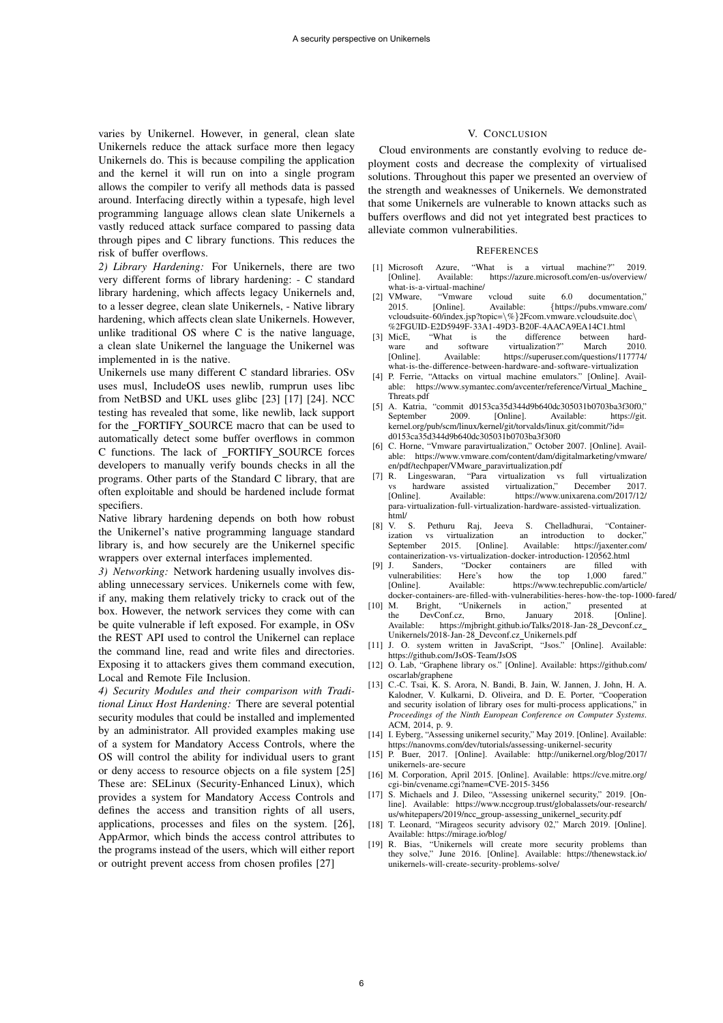varies by Unikernel. However, in general, clean slate Unikernels reduce the attack surface more then legacy Unikernels do. This is because compiling the application and the kernel it will run on into a single program allows the compiler to verify all methods data is passed around. Interfacing directly within a typesafe, high level programming language allows clean slate Unikernels a vastly reduced attack surface compared to passing data through pipes and C library functions. This reduces the risk of buffer overflows.

*2) Library Hardening:* For Unikernels, there are two very different forms of library hardening: - C standard library hardening, which affects legacy Unikernels and, to a lesser degree, clean slate Unikernels, - Native library hardening, which affects clean slate Unikernels. However, unlike traditional OS where C is the native language, a clean slate Unikernel the language the Unikernel was implemented in is the native.

Unikernels use many different C standard libraries. OSv uses musl, IncludeOS uses newlib, rumprun uses libc from NetBSD and UKL uses glibc [23] [17] [24]. NCC testing has revealed that some, like newlib, lack support for the FORTIFY SOURCE macro that can be used to automatically detect some buffer overflows in common C functions. The lack of FORTIFY SOURCE forces developers to manually verify bounds checks in all the programs. Other parts of the Standard C library, that are often exploitable and should be hardened include format specifiers.

Native library hardening depends on both how robust the Unikernel's native programming language standard library is, and how securely are the Unikernel specific wrappers over external interfaces implemented.

*3) Networking:* Network hardening usually involves disabling unnecessary services. Unikernels come with few, if any, making them relatively tricky to crack out of the box. However, the network services they come with can be quite vulnerable if left exposed. For example, in OSv the REST API used to control the Unikernel can replace the command line, read and write files and directories. Exposing it to attackers gives them command execution, Local and Remote File Inclusion.

*4) Security Modules and their comparison with Traditional Linux Host Hardening:* There are several potential security modules that could be installed and implemented by an administrator. All provided examples making use of a system for Mandatory Access Controls, where the OS will control the ability for individual users to grant or deny access to resource objects on a file system [25] These are: SELinux (Security-Enhanced Linux), which provides a system for Mandatory Access Controls and defines the access and transition rights of all users, applications, processes and files on the system. [26], AppArmor, which binds the access control attributes to the programs instead of the users, which will either report or outright prevent access from chosen profiles [27]

#### V. CONCLUSION

Cloud environments are constantly evolving to reduce deployment costs and decrease the complexity of virtualised solutions. Throughout this paper we presented an overview of the strength and weaknesses of Unikernels. We demonstrated that some Unikernels are vulnerable to known attacks such as buffers overflows and did not yet integrated best practices to alleviate common vulnerabilities.

#### **REFERENCES**

- [1] Microsoft Azure, "What is a virtual machine?" 2019. https://azure.microsoft.com/en-us/overview/ what-is-a-virtual-machine/<br>VMware, "Vmware
- [2] VMware, "Vmware vcloud suite 6.0 documentation," 2015. [Online]. Available: *{*https://pubs.vmware.com/ vcloudsuite-60/index.jsp?topic=*\*%*}*2Fcom.vmware.vcloudsuite.doc*\* %2FGUID-E2D5949F-33A1-49D3-B20F-4AACA9EA14C1.html<br>[3] MicE, "What is the difference between
- is the difference between hard-<br>software virtualization?" March 2010. ware and software virtualization?" March 2010.<br>[Online]. Available: https://superuser.com/questions/117774/ https://superuser.com/questions/117774/ what-is-the-difference-between-hardware-and-software-virtualization
- [4] P. Ferrie, "Attacks on virtual machine emulators." [Online]. Available: https://www.symantec.com/avcenter/reference/Virtual Machine Threats.pdf
- [5] A. Katria, "commit d0153ca35d344d9b640dc305031b0703ba3f30f0," September 2009. [Online]. Available: https://git. kernel.org/pub/scm/linux/kernel/git/torvalds/linux.git/commit/?id= d0153ca35d344d9b640dc305031b0703ba3f30f0
- [6] C. Horne, "Vmware paravirtualization," October 2007. [Online]. Available: https://www.vmware.com/content/dam/digitalmarketing/vmware/ en/pdf/techpaper/VMware\_paravirtualization.pdf<br>[7] R. Lingeswaran, "Para virtualization vs
- Lingeswaran, "Para virtualization vs full virtualization hardware assisted virtualization," December 2017. vs hardware assisted virtualization," December 2017.<br>
[Online]. Available: https://www.unixarena.com/2017/12/ https://www.unixarena.com/2017/12/ para-virtualization-full-virtualization-hardware-assisted-virtualization. html/<br>[8] V. S.
- V. S. Pethuru Raj, Jeeva S. Chelladhurai, "Container-<br>ization vs virtualization an introduction to docker," ization vs virtualization an introduction<br>September 2015. [Online]. Available: https: https://jaxenter.com/ containerization-vs-virtualization-docker-introduction-120562.html
- "Docker containers are filled with<br>Here's how the top 1,000 fared." vulnerabilities: Here's<br>[Online]. Available: https://www.techrepublic.com/article/
- docker-containers-are-filled-with-vulnerabilities-heres-how-the-top-1000-fared/<br>[10] M. Bright, "Unikernels in action," presented at M. Bright, "Unikernels in action," presented at the DevConf.cz, Brno, January 2018. [Online]. DevConf.cz, Available: https://mjbright.github.io/Talks/2018-Jan-28\_Devconf.cz\_ Unikernels/2018-Jan-28 Devconf.cz Unikernels.pdf
- [11] J. O. system written in JavaScript, "Jsos." [Online]. Available: https://github.com/JsOS-Team/JsOS
- [12] O. Lab, "Graphene library os." [Online]. Available: https://github.com/ oscarlab/graphene
- [13] C.-C. Tsai, K. S. Arora, N. Bandi, B. Jain, W. Jannen, J. John, H. A. Kalodner, V. Kulkarni, D. Oliveira, and D. E. Porter, "Cooperation and security isolation of library oses for multi-process applications," in *Proceedings of the Ninth European Conference on Computer Systems*. ACM, 2014, p. 9.
- [14] I. Eyberg, "Assessing unikernel security," May 2019. [Online]. Available: https://nanovms.com/dev/tutorials/assessing-unikernel-security
- [15] P. Buer, 2017. [Online]. Available: http://unikernel.org/blog/2017/ unikernels-are-secure
- [16] M. Corporation, April 2015. [Online]. Available: https://cve.mitre.org/ cgi-bin/cvename.cgi?name=CVE-2015-3456
- [17] S. Michaels and J. Dileo, "Assessing unikernel security," 2019. [Online]. Available: https://www.nccgroup.trust/globalassets/our-research/ us/whitepapers/2019/ncc\_group-assessing\_unikernel\_security.pdf
- [18] T. Leonard, "Mirageos security advisory 02," March 2019. [Online]. Available: https://mirage.io/blog/
- [19] R. Bias, "Unikernels will create more security problems than they solve," June 2016. [Online]. Available: https://thenewstack.io/ unikernels-will-create-security-problems-solve/